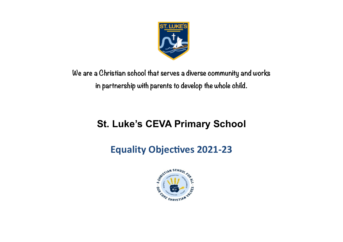

## **We are a Christian school that serves a diverse community and works in partnership with parents to develop the whole child.**

## **St. Luke's CEVA Primary School**

## **Equality Objectives 2021-23**